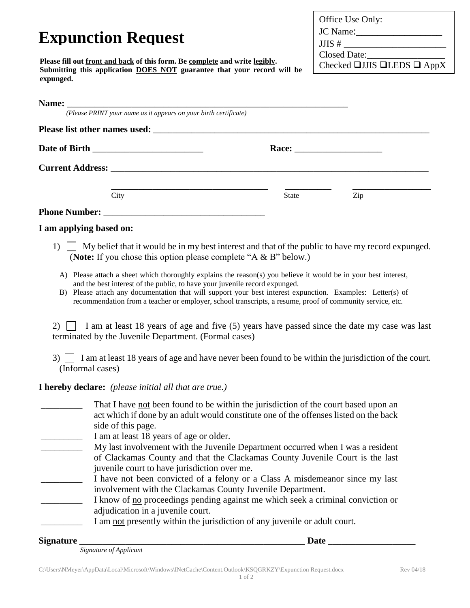|                                                                                                                                                                                                                         | Office Use Only:                            |  |  |  |  |  |
|-------------------------------------------------------------------------------------------------------------------------------------------------------------------------------------------------------------------------|---------------------------------------------|--|--|--|--|--|
|                                                                                                                                                                                                                         | JC Name:                                    |  |  |  |  |  |
| <b>Expunction Request</b>                                                                                                                                                                                               |                                             |  |  |  |  |  |
|                                                                                                                                                                                                                         | Closed Date:                                |  |  |  |  |  |
| Please fill out front and back of this form. Be complete and write legibly.<br>Submitting this application DOES NOT guarantee that your record will be                                                                  | Checked $\Box$ JJIS $\Box$ LEDS $\Box$ AppX |  |  |  |  |  |
| expunged.                                                                                                                                                                                                               |                                             |  |  |  |  |  |
|                                                                                                                                                                                                                         |                                             |  |  |  |  |  |
| <b>Name:</b> (Please PRINT your name as it appears on your birth certificate)                                                                                                                                           |                                             |  |  |  |  |  |
|                                                                                                                                                                                                                         |                                             |  |  |  |  |  |
|                                                                                                                                                                                                                         |                                             |  |  |  |  |  |
|                                                                                                                                                                                                                         |                                             |  |  |  |  |  |
|                                                                                                                                                                                                                         |                                             |  |  |  |  |  |
|                                                                                                                                                                                                                         |                                             |  |  |  |  |  |
| City                                                                                                                                                                                                                    | Zip<br>State                                |  |  |  |  |  |
|                                                                                                                                                                                                                         |                                             |  |  |  |  |  |
|                                                                                                                                                                                                                         |                                             |  |  |  |  |  |
| I am applying based on:                                                                                                                                                                                                 |                                             |  |  |  |  |  |
| $\Box$ My belief that it would be in my best interest and that of the public to have my record expunged.<br>1)<br>(Note: If you chose this option please complete "A $\&$ B" below.)                                    |                                             |  |  |  |  |  |
| A) Please attach a sheet which thoroughly explains the reason(s) you believe it would be in your best interest,                                                                                                         |                                             |  |  |  |  |  |
| and the best interest of the public, to have your juvenile record expunged.                                                                                                                                             |                                             |  |  |  |  |  |
| B) Please attach any documentation that will support your best interest expunction. Examples: Letter(s) of<br>recommendation from a teacher or employer, school transcripts, a resume, proof of community service, etc. |                                             |  |  |  |  |  |
|                                                                                                                                                                                                                         |                                             |  |  |  |  |  |
| I am at least 18 years of age and five (5) years have passed since the date my case was last<br>2)<br>terminated by the Juvenile Department. (Formal cases)                                                             |                                             |  |  |  |  |  |
| I am at least 18 years of age and have never been found to be within the jurisdiction of the court.<br>3)<br>(Informal cases)                                                                                           |                                             |  |  |  |  |  |
| <b>I hereby declare:</b> (please initial all that are true.)                                                                                                                                                            |                                             |  |  |  |  |  |
| That I have <u>not</u> been found to be within the jurisdiction of the court based upon an                                                                                                                              |                                             |  |  |  |  |  |
| act which if done by an adult would constitute one of the offenses listed on the back                                                                                                                                   |                                             |  |  |  |  |  |
| side of this page.                                                                                                                                                                                                      |                                             |  |  |  |  |  |
| I am at least 18 years of age or older.                                                                                                                                                                                 |                                             |  |  |  |  |  |
| My last involvement with the Juvenile Department occurred when I was a resident                                                                                                                                         |                                             |  |  |  |  |  |
| of Clackamas County and that the Clackamas County Juvenile Court is the last<br>juvenile court to have jurisdiction over me.                                                                                            |                                             |  |  |  |  |  |

- I have not been convicted of a felony or a Class A misdemeanor since my last involvement with the Clackamas County Juvenile Department.
- I know of no proceedings pending against me which seek a criminal conviction or adjudication in a juvenile court.
- I am not presently within the jurisdiction of any juvenile or adult court.

**Signature** \_\_\_\_\_\_\_\_\_\_\_\_\_\_\_\_\_\_\_\_\_\_\_\_\_\_\_\_\_\_\_\_\_\_\_\_\_\_\_\_\_\_\_\_\_\_\_\_\_ **Date** \_\_\_\_\_\_\_\_\_\_\_\_\_\_\_\_\_\_\_

*Signature of Applicant*